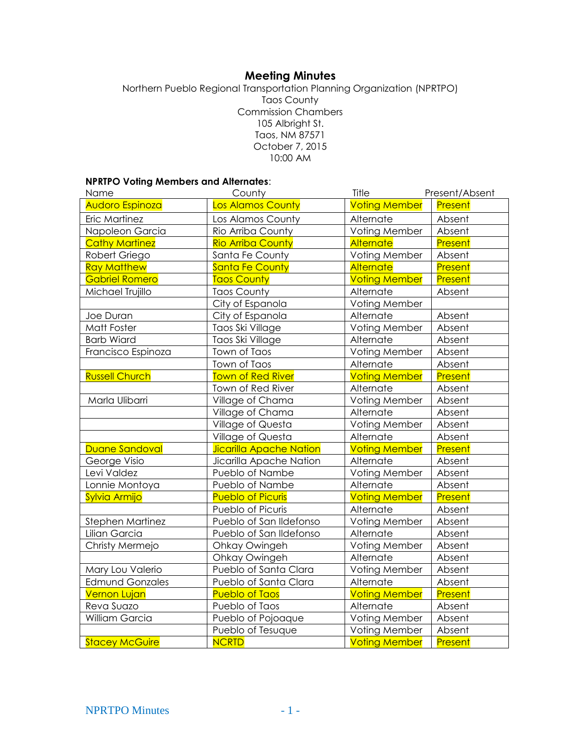# **Meeting Minutes**

Northern Pueblo Regional Transportation Planning Organization (NPRTPO) Taos County Commission Chambers 105 Albright St. Taos, NM 87571 October 7, 2015 10:00 AM

## **NPRTPO Voting Members and Alternates**:

| Name                   | County                         | Title                | Present/Absent |
|------------------------|--------------------------------|----------------------|----------------|
| Audoro Espinoza        | Los Alamos County              | <b>Voting Member</b> | Present        |
| Eric Martinez          | Los Alamos County              | Alternate            | Absent         |
| Napoleon Garcia        | Rio Arriba County              | Voting Member        | Absent         |
| <b>Cathy Martinez</b>  | <b>Rio Arriba County</b>       | Alternate            | Present        |
| Robert Griego          | Santa Fe County                | Voting Member        | Absent         |
| <b>Ray Matthew</b>     | <b>Santa Fe County</b>         | <b>Alternate</b>     | Present        |
| <b>Gabriel Romero</b>  | <b>Taos County</b>             | <b>Voting Member</b> | Present        |
| Michael Trujillo       | <b>Taos County</b>             | Alternate            | Absent         |
|                        | City of Espanola               | Voting Member        |                |
| Joe Duran              | City of Espanola               | Alternate            | Absent         |
| Matt Foster            | Taos Ski Village               | Voting Member        | Absent         |
| <b>Barb Wiard</b>      | Taos Ski Village               | Alternate            | Absent         |
| Francisco Espinoza     | Town of Taos                   | Voting Member        | Absent         |
|                        | Town of Taos                   | Alternate            | Absent         |
| <b>Russell Church</b>  | <b>Town of Red River</b>       | <b>Voting Member</b> | Present        |
|                        | Town of Red River              | Alternate            | Absent         |
| Marla Ulibarri         | Village of Chama               | Voting Member        | Absent         |
|                        | Village of Chama               | Alternate            | Absent         |
|                        | Village of Questa              | Voting Member        | Absent         |
|                        | Village of Questa              | Alternate            | Absent         |
| Duane Sandoval         | <b>Jicarilla Apache Nation</b> | <b>Voting Member</b> | Present        |
| George Visio           | Jicarilla Apache Nation        | Alternate            | Absent         |
| Levi Valdez            | Pueblo of Nambe                | Voting Member        | Absent         |
| Lonnie Montoya         | Pueblo of Nambe                | Alternate            | Absent         |
| Sylvia Armijo          | <b>Pueblo of Picuris</b>       | <b>Voting Member</b> | Present        |
|                        | Pueblo of Picuris              | Alternate            | Absent         |
| Stephen Martinez       | Pueblo of San Ildefonso        | Voting Member        | Absent         |
| Lilian Garcia          | Pueblo of San Ildefonso        | Alternate            | Absent         |
| Christy Mermejo        | Ohkay Owingeh                  | Voting Member        | Absent         |
|                        | Ohkay Owingeh                  | Alternate            | Absent         |
| Mary Lou Valerio       | Pueblo of Santa Clara          | Voting Member        | Absent         |
| <b>Edmund Gonzales</b> | Pueblo of Santa Clara          | Alternate            | Absent         |
| <b>Vernon Lujan</b>    | <b>Pueblo of Taos</b>          | <b>Voting Member</b> | Present        |
| Reva Suazo             | Pueblo of Taos                 | Alternate            | Absent         |
| William Garcia         | Pueblo of Pojoaque             | Voting Member        | Absent         |
|                        | Pueblo of Tesuque              | Voting Member        | Absent         |
| <b>Stacey McGuire</b>  | <b>NCRTD</b>                   | <b>Voting Member</b> | Present        |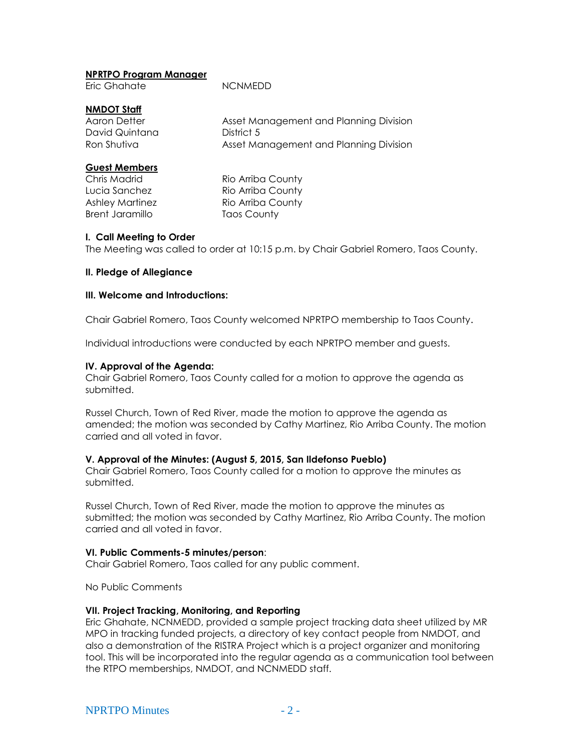## **NPRTPO Program Manager**

|  |  | Eric Ghahate |
|--|--|--------------|
|--|--|--------------|

NCNMEDD

# **NMDOT Staff**

Aaron Detter **Asset Management and Planning Division** David Quintana **District 5** Ron Shutiva **Asset Management and Planning Division** 

## **Guest Members**

Brent Jaramillo Taos County

Chris Madrid **Rio Arriba County** Lucia Sanchez **Rio Arriba County** Ashley Martinez Rio Arriba County

### **I. Call Meeting to Order**

The Meeting was called to order at 10:15 p.m. by Chair Gabriel Romero, Taos County.

# **II. Pledge of Allegiance**

### **III. Welcome and Introductions:**

Chair Gabriel Romero, Taos County welcomed NPRTPO membership to Taos County.

Individual introductions were conducted by each NPRTPO member and guests.

# **IV. Approval of the Agenda:**

Chair Gabriel Romero, Taos County called for a motion to approve the agenda as submitted.

Russel Church, Town of Red River, made the motion to approve the agenda as amended; the motion was seconded by Cathy Martinez, Rio Arriba County. The motion carried and all voted in favor.

### **V. Approval of the Minutes: (August 5, 2015, San Ildefonso Pueblo)**

Chair Gabriel Romero, Taos County called for a motion to approve the minutes as submitted.

Russel Church, Town of Red River, made the motion to approve the minutes as submitted; the motion was seconded by Cathy Martinez, Rio Arriba County. The motion carried and all voted in favor.

### **VI. Public Comments-5 minutes/person**:

Chair Gabriel Romero, Taos called for any public comment.

No Public Comments

### **VII. Project Tracking, Monitoring, and Reporting**

Eric Ghahate, NCNMEDD, provided a sample project tracking data sheet utilized by MR MPO in tracking funded projects, a directory of key contact people from NMDOT, and also a demonstration of the RISTRA Project which is a project organizer and monitoring tool. This will be incorporated into the regular agenda as a communication tool between the RTPO memberships, NMDOT, and NCNMEDD staff.